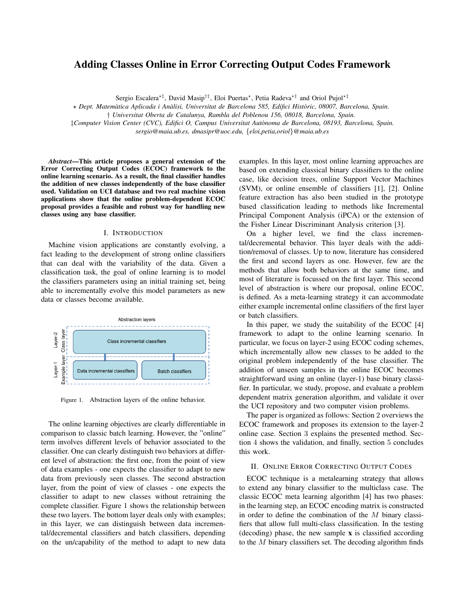# Adding Classes Online in Error Correcting Output Codes Framework

Sergio Escalera*<sup>⋆</sup>‡* , David Masip*†‡*, Eloi Puertas*<sup>⋆</sup>* , Petia Radeva*<sup>⋆</sup>‡* and Oriol Pujol*<sup>⋆</sup>‡*

*⋆ Dept. Matematica Aplicada i An ` alisi, Universitat de Barcelona 585, Edifici Hist ` oric, 08007, Barcelona, Spain. `*

*‡Computer Vision Center (CVC), Edifici O, Campus Universitat Autonoma de Barcelona, 08193, Barcelona, Spain. `*

*sergio@maia.ub.es, dmasipr@uoc.edu, {eloi,petia,oriol}@maia.ub.es*

*Abstract*—This article proposes a general extension of the Error Correcting Output Codes (ECOC) framework to the online learning scenario. As a result, the final classifier handles the addition of new classes independently of the base classifier used. Validation on UCI database and two real machine vision applications show that the online problem-dependent ECOC proposal provides a feasible and robust way for handling new classes using any base classifier.

## I. INTRODUCTION

Machine vision applications are constantly evolving, a fact leading to the development of strong online classifiers that can deal with the variability of the data. Given a classification task, the goal of online learning is to model the classifiers parameters using an initial training set, being able to incrementally evolve this model parameters as new data or classes become available.



Figure 1. Abstraction layers of the online behavior.

The online learning objectives are clearly differentiable in comparison to classic batch learning. However, the "online" term involves different levels of behavior associated to the classifier. One can clearly distinguish two behaviors at different level of abstraction: the first one, from the point of view of data examples - one expects the classifier to adapt to new data from previously seen classes. The second abstraction layer, from the point of view of classes - one expects the classifier to adapt to new classes without retraining the complete classifier. Figure 1 shows the relationship between these two layers. The bottom layer deals only with examples; in this layer, we can distinguish between data incremental/decremental classifiers and batch classifiers, depending on the un/capability of the method to adapt to new data examples. In this layer, most online learning approaches are based on extending classical binary classifiers to the online case, like decision trees, online Support Vector Machines (SVM), or online ensemble of classifiers [1], [2]. Online feature extraction has also been studied in the prototype based classification leading to methods like Incremental Principal Component Analysis (iPCA) or the extension of the Fisher Linear Discriminant Analysis criterion [3].

On a higher level, we find the class incremental/decremental behavior. This layer deals with the addition/removal of classes. Up to now, literature has considered the first and second layers as one. However, few are the methods that allow both behaviors at the same time, and most of literature is focussed on the first layer. This second level of abstraction is where our proposal, online ECOC, is defined. As a meta-learning strategy it can accommodate either example incremental online classifiers of the first layer or batch classifiers.

In this paper, we study the suitability of the ECOC [4] framework to adapt to the online learning scenario. In particular, we focus on layer-2 using ECOC coding schemes, which incrementally allow new classes to be added to the original problem independently of the base classifier. The addition of unseen samples in the online ECOC becomes straightforward using an online (layer-1) base binary classifier. In particular, we study, propose, and evaluate a problem dependent matrix generation algorithm, and validate it over the UCI repository and two computer vision problems.

The paper is organized as follows: Section 2 overviews the ECOC framework and proposes its extension to the layer-2 online case. Section 3 explains the presented method. Section 4 shows the validation, and finally, section 5 concludes this work.

#### II. ONLINE ERROR CORRECTING OUTPUT CODES

ECOC technique is a metalearning strategy that allows to extend any binary classifier to the multiclass case. The classic ECOC meta learning algorithm [4] has two phases: in the learning step, an ECOC encoding matrix is constructed in order to define the combination of the *M* binary classifiers that allow full multi-class classification. In the testing (decoding) phase, the new sample x is classified according to the *M* binary classifiers set. The decoding algorithm finds

*<sup>†</sup> Universitat Oberta de Catalunya, Rambla del Poblenou 156, 08018, Barcelona, Spain.*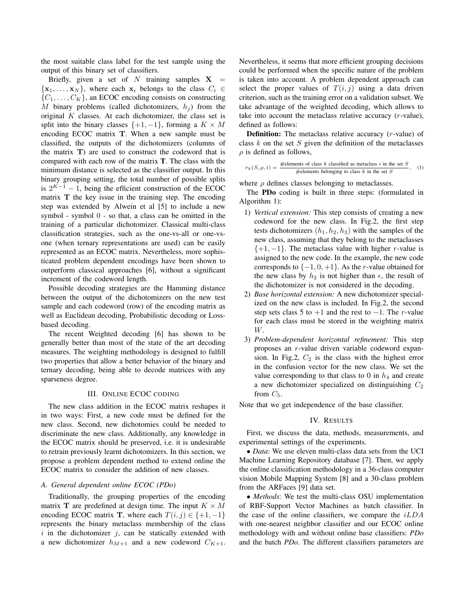the most suitable class label for the test sample using the output of this binary set of classifiers.

Briefly, given a set of  $N$  training samples  $X =$  $\{x_1, \ldots, x_N\}$ , where each  $x_i$  belongs to the class  $C_i \in$  ${C_1, \ldots, C_K}$ , an ECOC encoding consists on constructing *M* binary problems (called dichotomizers,  $h_j$ ) from the original *K* classes. At each dichotomizer, the class set is split into the binary classes  $\{+1, -1\}$ , forming a  $K \times M$ encoding ECOC matrix **T**. When a new sample must be classified, the outputs of the dichotomizers (columns of the matrix **T**) are used to construct the codeword that is compared with each row of the matrix T. The class with the minimum distance is selected as the classifier output. In this binary grouping setting, the total number of possible splits is  $2^{K-1} - 1$ , being the efficient construction of the ECOC matrix **T** the key issue in the training step. The encoding step was extended by Alwein et al [5] to include a new symbol - symbol 0 - so that, a class can be omitted in the training of a particular dichotomizer. Classical multi-class classification strategies, such as the one-vs-all or one-vsone (when ternary representations are used) can be easily represented as an ECOC matrix. Nevertheless, more sophisticated problem dependent encodings have been shown to outperform classical approaches [6], without a significant increment of the codeword length.

Possible decoding strategies are the Hamming distance between the output of the dichotomizers on the new test sample and each codeword (row) of the encoding matrix as well as Euclidean decoding, Probabilistic decoding or Lossbased decoding.

The recent Weighted decoding [6] has shown to be generally better than most of the state of the art decoding measures. The weighting methodology is designed to fulfill two properties that allow a better behavior of the binary and ternary decoding, being able to decode matrices with any sparseness degree.

### III. ONLINE ECOC CODING

The new class addition in the ECOC matrix reshapes it in two ways: First, a new code must be defined for the new class. Second, new dichotomies could be needed to discriminate the new class. Additionally, any knowledge in the ECOC matrix should be preserved, i.e. it is undesirable to retrain previously learnt dichotomizers. In this section, we propose a problem dependent method to extend online the ECOC matrix to consider the addition of new classes.

## *A. General dependent online ECOC (PDo)*

Traditionally, the grouping properties of the encoding matrix **T** are predefined at design time. The input  $K \times M$ encoding ECOC matrix **T**, where each  $T(i, j) \in \{+1, -1\}$ represents the binary metaclass membership of the class  $i$  in the dichotomizer  $j$ , can be statically extended with a new dichotomizer  $h_{M+1}$  and a new codeword  $C_{K+1}$ . Nevertheless, it seems that more efficient grouping decisions could be performed when the specific nature of the problem is taken into account. A problem dependent approach can select the proper values of  $T(i, j)$  using a data driven criterion, such as the training error on a validation subset. We take advantage of the weighted decoding, which allows to take into account the metaclass relative accuracy (*r*-value), defined as follows:

Definition: The metaclass relative accuracy (*r*-value) of class *k* on the set *S* given the definition of the metaclasses  $\rho$  is defined as follows,

$$
r_k(S, \rho, i) = \frac{\text{\#elements of class } k \text{ classified as metaclass } i \text{ in the set } S}{\text{\#elements belonging to class } k \text{ in the set } S}, \quad (1)
$$

where  $\rho$  defines classes belonging to metaclasses.

The PDo coding is built in three steps: (formulated in Algorithm 1):

- 1) *Vertical extension:* This step consists of creating a new codeword for the new class. In Fig.2, the first step tests dichotomizers  $(h_1, h_2, h_3)$  with the samples of the new class, assuming that they belong to the metaclasses *{*+1*, −*1*}*. The metaclass value with higher *r*-value is assigned to the new code. In the example, the new code corresponds to *{−*1*,* 0*,* +1*}*. As the *r*-value obtained for the new class by  $h_2$  is not higher than  $\epsilon$ , the result of the dichotomizer is not considered in the decoding.
- 2) *Base horizontal extension:* A new dichotomizer specialized on the new class is included. In Fig.2, the second step sets class 5 to +1 and the rest to *−*1. The *r*-value for each class must be stored in the weighting matrix *W*.
- 3) *Problem-dependent horizontal refinement:* This step proposes an *r*-value driven variable codeword expansion. In Fig.2,  $C_2$  is the class with the highest error in the confusion vector for the new class. We set the value corresponding to that class to  $0$  in  $h_4$  and create a new dichotomizer specialized on distinguishing  $C_2$ from  $C_5$ .

Note that we get independence of the base classifier.

## IV. RESULTS

First, we discuss the data, methods, measurements, and experimental settings of the experiments.

*• Data*: We use eleven multi-class data sets from the UCI Machine Learning Repository database [7]. Then, we apply the online classification methodology in a 36-class computer vision Mobile Mapping System [8] and a 30-class problem from the ARFaces [9] data set.

*• Methods*: We test the multi-class OSU implementation of RBF-Support Vector Machines as batch classifier. In the case of the online classifiers, we compare the *iLDA* with one-nearest neighbor classifier and our ECOC online methodology with and without online base classifiers: *PDo* and the batch *PDo*. The different classifiers parameters are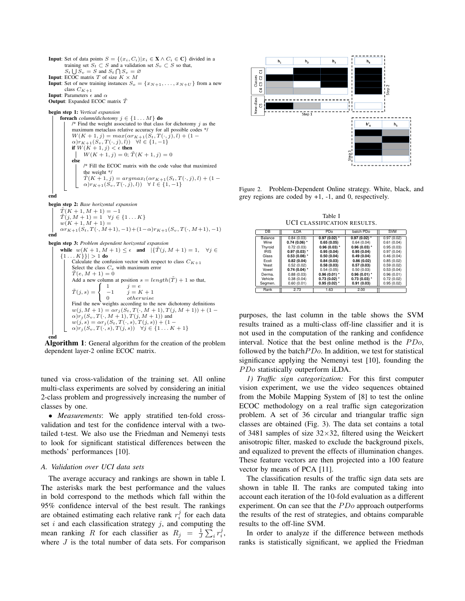**Input:** Set of data points  $S = \{(x_i, C_i) | x_i \in \mathbf{X} \land C_i \in \mathbf{C}\}\$  divided in a training set  $S_t \subset S$  and a validation set  $S_v \subset S$  so that,  $S_t \cup S_v = S$  and  $S_t \cap S_v = \emptyset$ **Input:** ECOC matrix *T* of size  $K \times M$ **Input:** Set of new training instances  $S_o = \{x_{N+1}, \ldots, x_{N+U}\}\$  from a new class  $\mathcal{C}_{K+1}$ Input: Parameters *ϵ* and *α* **Output:** Expanded ECOC matrix  $\tilde{T}$ 

begin step 1: *Vertical expansion*

foreach *column/dichotomy*  $j \in \{1, ..., M\}$  do /\* Find the weight associated to that class for dichotomy *j* as the maximum metaclass relative accuracy for all possible codes \*/  $W(K + 1, j) = max(\alpha r_{K+1}(S_t, T(\cdot, j), l) + (1 - j)$ *α*)*rK*+1(*Sv, T*(*·, j*)*, l*)) *∀l ∈ {*1*, −*1*}* if  $W(K + 1, j) < \epsilon$  then  $W(K + 1, j) = 0; \tilde{T}(K + 1, j) = 0$ else /\* Fill the ECOC matrix with the code value that maximized the weight \*/  $\tilde{T}(K+1,j) = argmax_l(\alpha r_{K+1}(S_t, T(\cdot, j), l) + (1 - \alpha r_{K+1}(S_t, T(\cdot, j), l))$  $\alpha$ ) $r_{K+1}(S_v, T(\cdot, j), l))$   $\forall l \in \{1, -1\}$ 

end

begin step 2: *Base horizontal expansion*

 $\tilde{T}(K+1, M+1) = -1$ *T*(*j*, *M* + 1) = 1  $\forall j \in \{1...K\}$  $w(K+1, M+1) =$  $\alpha r_{K+1}(S_t, T(\cdot, M+1), -1) + (1-\alpha)r_{K+1}(S_v, T(\cdot, M+1), -1)$ end

begin step 3: *Problem dependent horizontal expansion*

```
\text{while} \ \ w(K+1,M+1) \leq \epsilon \quad \text{and} \quad |\{\tilde{T}(j,M+1)=1, \quad \forall j \in \mathbb{Z}\}|K}}| > 1 do
             Calculate the confusion vector with respect to class C_{K+1}Select the class Ce with maximum error
             \tilde{T}(e, M + 1) = 0Add a new column at position s = length(\tilde{T}) + 1 so that,
             \tilde{T}(i,s)J
                             \begin{bmatrix} 0 \end{bmatrix}1 j = e-1 j = K + 1
                                            0 otherwise
             Find the new weights according to the new dichotomy definitions
             w(j, M + 1) = \alpha r_j (S_t, T(\cdot, M + 1), T(j, M + 1)) + (1 - \alpha) r_j (S_v, T(\cdot, M + 1), T(j, M + 1)) and
             w(j, s) = \alpha r_j(S_t, T(\cdot, s), T(j, s)) + (1 - \alpha^2)\alpha)r<sub>j</sub> (S<sub>v</sub>, T(·, s), T(j, s)) ∀j \in {1. . . K + 1}
end
```


tuned via cross-validation of the training set. All online multi-class experiments are solved by considering an initial 2-class problem and progressively increasing the number of classes by one.

*• Measurements*: We apply stratified ten-fold crossvalidation and test for the confidence interval with a twotailed t-test. We also use the Friedman and Nemenyi tests to look for significant statistical differences between the methods' performances [10].

#### *A. Validation over UCI data sets*

The average accuracy and rankings are shown in table I. The asterisks mark the best performance and the values in bold correspond to the methods which fall within the 95% confidence interval of the best result. The rankings are obtained estimating each relative rank  $r_i^j$  for each data set *i* and each classification strategy *j*, and computing the mean ranking *R* for each classifier as  $R_j = \frac{1}{J} \sum_i r_i^j$ , where *J* is the total number of data sets. For comparison



Figure 2. Problem-Dependent Online strategy. White, black, and grey regions are coded by +1, -1, and 0, respectively.

Table I UCI CLASSIFICATION RESULTS.

| DB          | <b>iLDA</b>    | P <sub>D</sub> o | batch PDo      | <b>SVM</b> |
|-------------|----------------|------------------|----------------|------------|
| Balance     | 0.84(0.03)     | $0.97(0.02)$ *   | $0.97(0.02)$ * | 0.97(0.02) |
| Wine        | $0.74(0.06)$ * | 0.65(0.05)       | 0.64(0.04)     | 0.61(0.04) |
| Thyroid     | 0.72(0.03)     | $0.96(0.03)$ *   | $0.96(0.03)$ * | 0.95(0.03) |
| <b>IRIS</b> | $0.97(0.03)$ * | 0.95(0.04)       | 0.95(0.04)     | 0.97(0.04) |
| Glass       | $0.53(0.08)$ * | 0.50(0.04)       | 0.49(0.04)     | 0.46(0.04) |
| Ecoli       | 0.82(0.04)     | 0.84(0.03)       | 0.86(0.02)     | 0.85(0.02) |
| Yeast       | 0.52(0.02)     | 0.58(0.03)       | 0.57(0.03)     | 0.59(0.02) |
| Vowel       | $0.74(0.04)$ * | 0.54(0.05)       | 0.50(0.03)     | 0.53(0.04) |
| Derma.      | 0.88(0.03)     | $0.96(0.01)$ *   | $0.96(0.01)$ * | 0.96(0.01) |
| Vehicle     | 0.38(0.04)     | $0.73(0.02)$ *   | $0.73(0.03)$ * | 0.72(0.02) |
| Segmen.     | 0.60(0.01)     | $0.95(0.02)$ *   | 0.91(0.03)     | 0.95(0.02) |
| Rank        | 2.73           | 1.63             | 2.00           |            |

purposes, the last column in the table shows the SVM results trained as a multi-class off-line classifier and it is not used in the computation of the ranking and confidence interval. Notice that the best online method is the *P Do*, followed by the batch*P Do*. In addition, we test for statistical significance applying the Nemenyi test [10], founding the *P Do* statistically outperform iLDA.

*1) Traffic sign categorization:* For this first computer vision experiment, we use the video sequences obtained from the Mobile Mapping System of [8] to test the online ECOC methodology on a real traffic sign categorization problem. A set of 36 circular and triangular traffic sign classes are obtained (Fig. 3). The data set contains a total of 3481 samples of size 32*×*32, filtered using the Weickert anisotropic filter, masked to exclude the background pixels, and equalized to prevent the effects of illumination changes. These feature vectors are then projected into a 100 feature vector by means of PCA [11].

The classification results of the traffic sign data sets are shown in table II. The ranks are computed taking into account each iteration of the 10-fold evaluation as a different experiment. On can see that the *P Do* approach outperforms the results of the rest of strategies, and obtains comparable results to the off-line SVM.

In order to analyze if the difference between methods ranks is statistically significant, we applied the Friedman